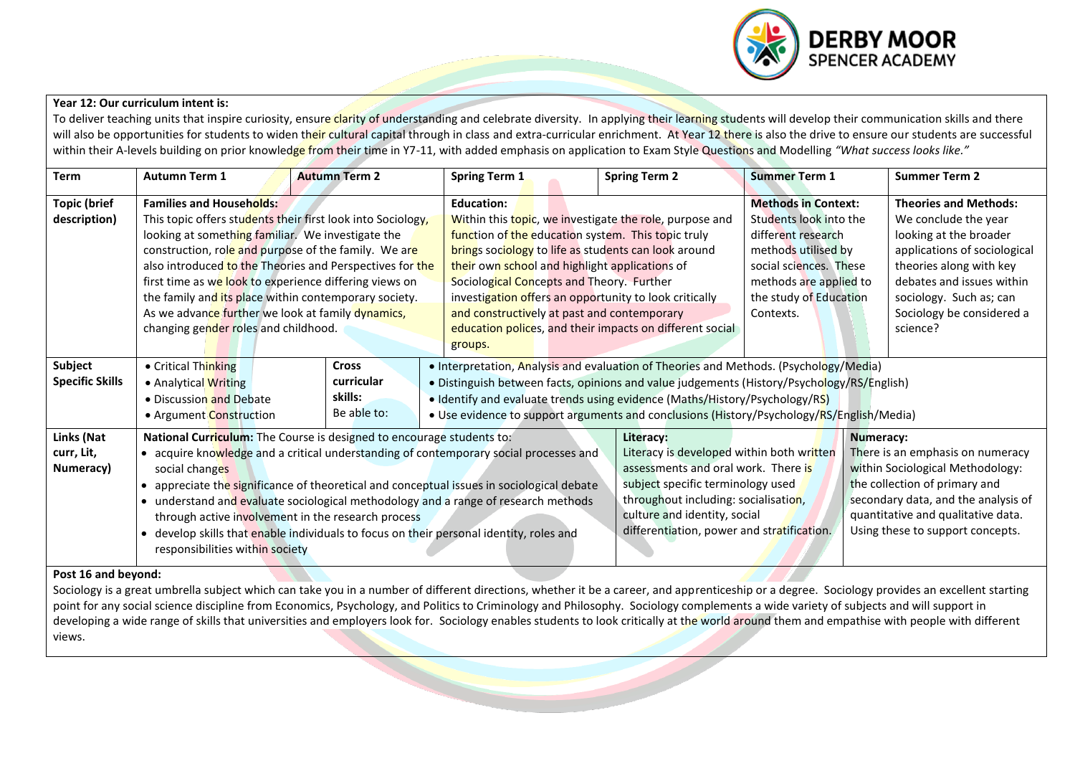

## **Year 12: Our curriculum intent is:**

To deliver teaching units that inspire curiosity, ensure clarity of understanding and celebrate diversity. In applying their learning students will develop their communication skills and there will also be opportunities for students to widen their cultural capital through in class and extra-curricular enrichment. At Year 12 there is also the drive to ensure our students are successful within their A-levels building on prior knowledge from their time in Y7-11, with added emphasis on application to Exam Style Questions and Modelling "What success looks like."

| <b>Term</b>                           | <b>Autumn Term 1</b>                                                                                                                                                                                                                                                                                                                                                                                                                                                                                                                                  | <b>Autumn Term 2</b>                                 | <b>Spring Term 1</b>                                                                                                                                                                                                                                                                                                                                            | <b>Spring Term 2</b>                                                                                                                                                                                                                                     | <b>Summer Term 1</b>                                                                                                                                                                         | <b>Summer Term 2</b>                                                                                                                                                                                                                       |  |  |  |
|---------------------------------------|-------------------------------------------------------------------------------------------------------------------------------------------------------------------------------------------------------------------------------------------------------------------------------------------------------------------------------------------------------------------------------------------------------------------------------------------------------------------------------------------------------------------------------------------------------|------------------------------------------------------|-----------------------------------------------------------------------------------------------------------------------------------------------------------------------------------------------------------------------------------------------------------------------------------------------------------------------------------------------------------------|----------------------------------------------------------------------------------------------------------------------------------------------------------------------------------------------------------------------------------------------------------|----------------------------------------------------------------------------------------------------------------------------------------------------------------------------------------------|--------------------------------------------------------------------------------------------------------------------------------------------------------------------------------------------------------------------------------------------|--|--|--|
| <b>Topic (brief</b><br>description)   | <b>Families and Households:</b><br>This topic offers students their first look into Sociology,<br>looking at something familiar. We investigate the<br>construction, role and purpose of the family. We are<br>also introduced to the Theories and Perspectives for the<br>first time as we look to experience differing views on<br>the family and its place within contemporary society.<br>As we advance further we look at family dynamics,<br>changing gender roles and childhood.                                                               |                                                      | <b>Education:</b><br>function of the education system. This topic truly<br>brings sociology to life as students can look around<br>their own school and highlight applications of<br>Sociological Concepts and Theory. Further<br>investigation offers an opportunity to look critically<br>and constructively at past and contemporary<br>groups.              | Within this topic, we investigate the role, purpose and<br>education polices, and their impacts on different social                                                                                                                                      | <b>Methods in Context:</b><br>Students look into the<br>different research<br>methods utilised by<br>social sciences. These<br>methods are applied to<br>the study of Education<br>Contexts. | <b>Theories and Methods:</b><br>We conclude the year<br>looking at the broader<br>applications of sociological<br>theories along with key<br>debates and issues within<br>sociology. Such as; can<br>Sociology be considered a<br>science? |  |  |  |
| Subject<br><b>Specific Skills</b>     | • Critical Thinking<br>• Analytical Writing<br>• Discussion and Debate<br>• Argument Construction                                                                                                                                                                                                                                                                                                                                                                                                                                                     | <b>Cross</b><br>curricular<br>skills:<br>Be able to: | • Interpretation, Analysis and evaluation of Theories and Methods. (Psychology/Media)<br>. Distinguish between facts, opinions and value judgements (History/Psychology/RS/English)<br>• Identify and evaluate trends using evidence (Maths/History/Psychology/RS)<br>• Use evidence to support arguments and conclusions (History/Psychology/RS/English/Media) |                                                                                                                                                                                                                                                          |                                                                                                                                                                                              |                                                                                                                                                                                                                                            |  |  |  |
| Links (Nat<br>curr, Lit,<br>Numeracy) | National Curriculum: The Course is designed to encourage students to:<br>• acquire knowledge and a critical understanding of contemporary social processes and<br>social changes<br>• appreciate the significance of theoretical and conceptual issues in sociological debate<br>• understand and evaluate sociological methodology and a range of research methods<br>through active involvement in the research process<br>develop skills that enable individuals to focus on their personal identity, roles and<br>responsibilities within society |                                                      |                                                                                                                                                                                                                                                                                                                                                                 | Literacy:<br>Literacy is developed within both written<br>assessments and oral work. There is<br>subject specific terminology used<br>throughout including: socialisation,<br>culture and identity, social<br>differentiation, power and stratification. |                                                                                                                                                                                              | Numeracy:<br>There is an emphasis on numeracy<br>within Sociological Methodology:<br>the collection of primary and<br>secondary data, and the analysis of<br>quantitative and qualitative data.<br>Using these to support concepts.        |  |  |  |
| Post 16 and beyond:                   |                                                                                                                                                                                                                                                                                                                                                                                                                                                                                                                                                       |                                                      |                                                                                                                                                                                                                                                                                                                                                                 |                                                                                                                                                                                                                                                          |                                                                                                                                                                                              |                                                                                                                                                                                                                                            |  |  |  |

## **Post 16 and beyond:**

Sociology is a great umbrella subject which can take you in a number of different directions, whether it be a career, and apprenticeship or a degree. Sociology provides an excellent starting point for any social science discipline from Economics, Psychology, and Politics to Criminology and Philosophy. Sociology complements a wide variety of subjects and will support in developing a wide range of skills that universities and employers look for. Sociology enables students to look critically at the world around them and empathise with people with different views.